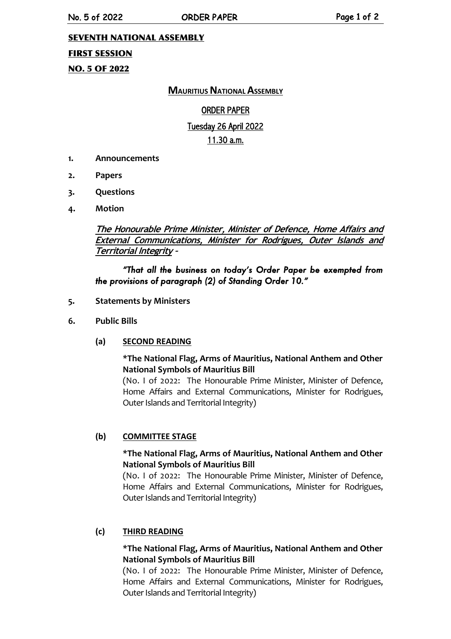No. 5 of 2022 ORDER PAPER CONSTRUCTED Page 1 of 2

### SEVENTH NATIONAL ASSEMBLY

### FIRST SESSION

NO. 5 OF 2022

# **MAURITIUS NATIONAL ASSEMBLY**

# ORDER PAPER

# Tuesday 26 April 2022

# 11.30 a.m.

- **1. Announcements**
- **2. Papers**
- **3. Questions**
- **4. Motion**

**The Honourable Prime Minister, Minister of Defence, Home Affairs and External Communications, Minister for Rodrigues, Outer Islands and Territorial Integrity –**

# *"That all the business on today's Order Paper be exempted from the provisions of paragraph (2) of Standing Order 10."*

- **5. Statements by Ministers**
- **6. Public Bills**
	- **(a) SECOND READING**

### **\*The National Flag, Arms of Mauritius, National Anthem and Other National Symbols of Mauritius Bill**

(No. I of 2022: The Honourable Prime Minister, Minister of Defence, Home Affairs and External Communications, Minister for Rodrigues, Outer Islands and Territorial Integrity)

#### **(b) COMMITTEE STAGE**

### **\*The National Flag, Arms of Mauritius, National Anthem and Other National Symbols of Mauritius Bill**

(No. I of 2022: The Honourable Prime Minister, Minister of Defence, Home Affairs and External Communications, Minister for Rodrigues, Outer Islands and Territorial Integrity)

# **(c) THIRD READING**

### **\*The National Flag, Arms of Mauritius, National Anthem and Other National Symbols of Mauritius Bill**

(No. I of 2022: The Honourable Prime Minister, Minister of Defence, Home Affairs and External Communications, Minister for Rodrigues, Outer Islands and Territorial Integrity)